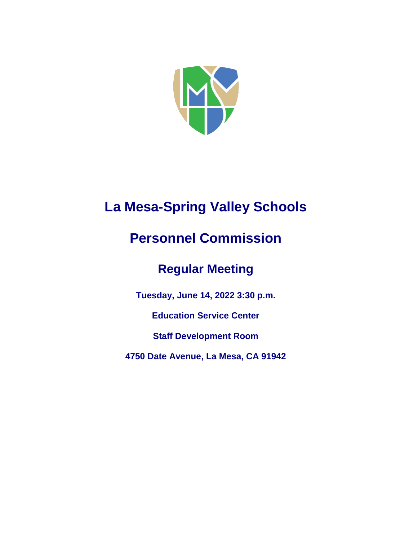

# **La Mesa-Spring Valley Schools**

## **Personnel Commission**

## **Regular Meeting**

**Tuesday, June 14, 2022 3:30 p.m.**

**Education Service Center**

**Staff Development Room**

**4750 Date Avenue, La Mesa, CA 91942**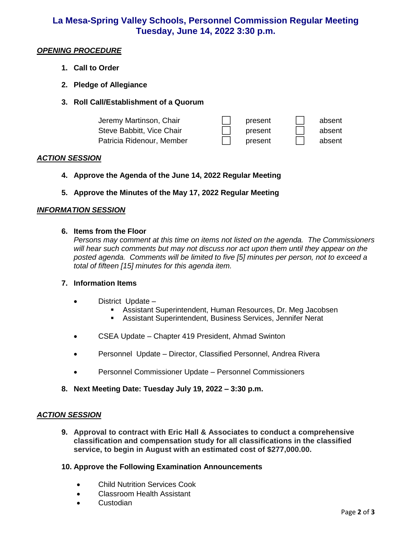### **La Mesa-Spring Valley Schools, Personnel Commission Regular Meeting Tuesday, June 14, 2022 3:30 p.m.**

#### *OPENING PROCEDURE*

- **1. Call to Order**
- **2. Pledge of Allegiance**
- **3. Roll Call/Establishment of a Quorum**

| Jeremy Martinson, Chair   | present | absent |
|---------------------------|---------|--------|
| Steve Babbitt, Vice Chair | present | absent |
| Patricia Ridenour, Member | present | absent |

#### *ACTION SESSION*

- **4. Approve the Agenda of the June 14, 2022 Regular Meeting**
- **5. Approve the Minutes of the May 17, 2022 Regular Meeting**

#### *INFORMATION SESSION*

#### **6. Items from the Floor**

*Persons may comment at this time on items not listed on the agenda. The Commissioners will hear such comments but may not discuss nor act upon them until they appear on the posted agenda. Comments will be limited to five [5] minutes per person, not to exceed a total of fifteen [15] minutes for this agenda item.* 

#### **7. Information Items**

- District Update
	- Assistant Superintendent, Human Resources, Dr. Meg Jacobsen
	- Assistant Superintendent, Business Services, Jennifer Nerat
- CSEA Update Chapter 419 President, Ahmad Swinton
- Personnel Update Director, Classified Personnel, Andrea Rivera
- Personnel Commissioner Update Personnel Commissioners
- **8. Next Meeting Date: Tuesday July 19, 2022 – 3:30 p.m.**

#### *ACTION SESSION*

**9. Approval to contract with Eric Hall & Associates to conduct a comprehensive classification and compensation study for all classifications in the classified service, to begin in August with an estimated cost of \$277,000.00.**

#### **10. Approve the Following Examination Announcements**

- Child Nutrition Services Cook
- Classroom Health Assistant
- Custodian